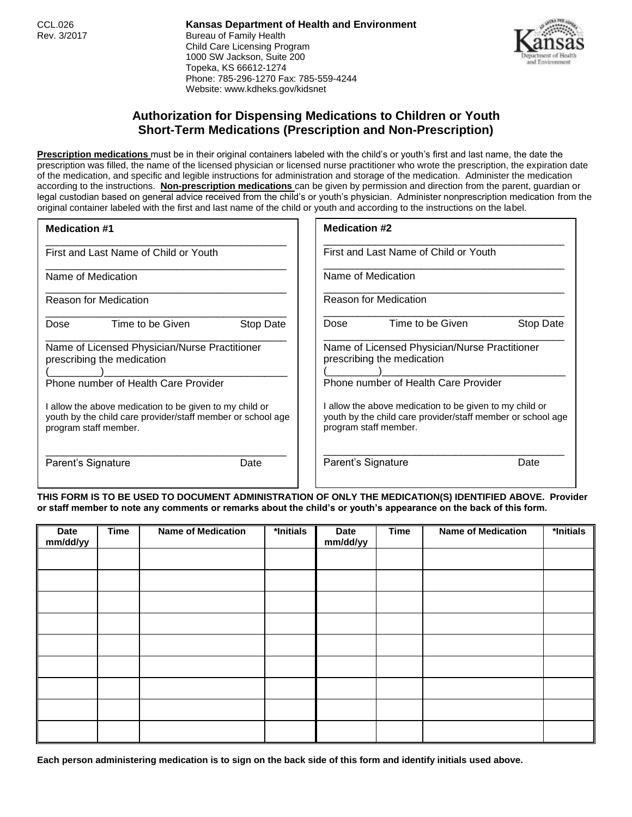CCL.026 **Kansas Department of Health and Environment** Rev. 3/2017 **Bureau of Family Health** Child Care Licensing Program 1000 SW Jackson, Suite 200 Topeka, KS 66612-1274 Phone: 785-296-1270 Fax: 785-559-4244 Website: www.kdheks.gov/kidsnet



## **Authorization for Dispensing Medications to Children or Youth Short-Term Medications (Prescription and Non-Prescription)**

**Prescription medications** must be in their original containers labeled with the child's or youth's first and last name, the date the prescription was filled, the name of the licensed physician or licensed nurse practitioner who wrote the prescription, the expiration date of the medication, and specific and legible instructions for administration and storage of the medication. Administer the medication according to the instructions. **Non-prescription medications** can be given by permission and direction from the parent, guardian or legal custodian based on general advice received from the child's or youth's physician. Administer nonprescription medication from the original container labeled with the first and last name of the child or youth and according to the instructions on the label.

| <b>Medication #1</b>                                                                                                                                                                                                                                                   | <b>Medication #2</b>                                                                                                                                                                                                                                                   |  |  |
|------------------------------------------------------------------------------------------------------------------------------------------------------------------------------------------------------------------------------------------------------------------------|------------------------------------------------------------------------------------------------------------------------------------------------------------------------------------------------------------------------------------------------------------------------|--|--|
| First and Last Name of Child or Youth                                                                                                                                                                                                                                  | First and Last Name of Child or Youth                                                                                                                                                                                                                                  |  |  |
| Name of Medication                                                                                                                                                                                                                                                     | Name of Medication                                                                                                                                                                                                                                                     |  |  |
| <b>Reason for Medication</b>                                                                                                                                                                                                                                           | <b>Reason for Medication</b>                                                                                                                                                                                                                                           |  |  |
| Time to be Given<br>Stop Date<br>Dose                                                                                                                                                                                                                                  | Time to be Given<br>Stop Date<br>Dose                                                                                                                                                                                                                                  |  |  |
| Name of Licensed Physician/Nurse Practitioner<br>prescribing the medication<br>Phone number of Health Care Provider<br>I allow the above medication to be given to my child or<br>youth by the child care provider/staff member or school age<br>program staff member. | Name of Licensed Physician/Nurse Practitioner<br>prescribing the medication<br>Phone number of Health Care Provider<br>I allow the above medication to be given to my child or<br>youth by the child care provider/staff member or school age<br>program staff member. |  |  |
| Parent's Signature<br>Date                                                                                                                                                                                                                                             | Parent's Signature<br>Date                                                                                                                                                                                                                                             |  |  |

**THIS FORM IS TO BE USED TO DOCUMENT ADMINISTRATION OF ONLY THE MEDICATION(S) IDENTIFIED ABOVE. Provider or staff member to note any comments or remarks about the child's or youth's appearance on the back of this form.**

| <b>Date</b><br>mm/dd/yy | <b>Time</b> | <b>Name of Medication</b> | *Initials | <b>Date</b><br>mm/dd/yy | <b>Time</b> | <b>Name of Medication</b> | *Initials |
|-------------------------|-------------|---------------------------|-----------|-------------------------|-------------|---------------------------|-----------|
|                         |             |                           |           |                         |             |                           |           |
|                         |             |                           |           |                         |             |                           |           |
|                         |             |                           |           |                         |             |                           |           |
|                         |             |                           |           |                         |             |                           |           |
|                         |             |                           |           |                         |             |                           |           |
|                         |             |                           |           |                         |             |                           |           |
|                         |             |                           |           |                         |             |                           |           |
|                         |             |                           |           |                         |             |                           |           |
|                         |             |                           |           |                         |             |                           |           |

**Each person administering medication is to sign on the back side of this form and identify initials used above.**